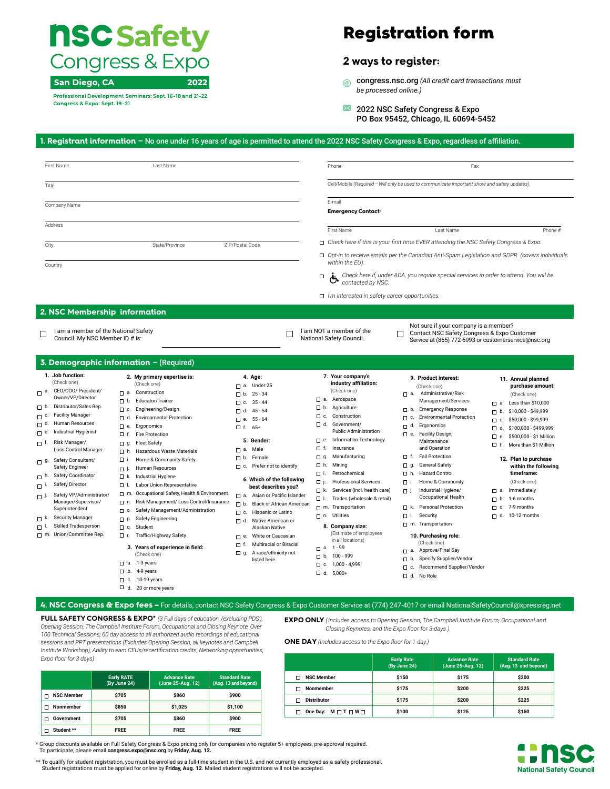# **NSC Safety** Congress & Expo

2022

San Diego, CA

Professional Development Seminars: Sept. 16-18 and 21-22

Congress & Expo: Sept. 19-21

## Registration form

### **2 ways to register:**

- congress.nsc.org *(All credit card transactions must be processed online.)*
- $\overline{\phantom{1}}$  2022 NSC Safety Congress & Expo PO Box 95452, Chicago, IL 60694-5452

#### **1. Registrant information –** No one under 16 years of age is permitted to attend the 2022 NSC Safety Congress & Expo, regardless of affiliation.

|                                                                               | Last Name                                    |                                                 | Phone                                                 | Fax                                                                                                        |                                      |
|-------------------------------------------------------------------------------|----------------------------------------------|-------------------------------------------------|-------------------------------------------------------|------------------------------------------------------------------------------------------------------------|--------------------------------------|
| Title                                                                         |                                              |                                                 |                                                       | Cell/Mobile (Required-Will only be used to communicate important show and safety updates)                  |                                      |
| Company Name                                                                  |                                              |                                                 | E-mail<br><b>Emergency Contact:</b>                   |                                                                                                            |                                      |
| Address                                                                       |                                              |                                                 |                                                       |                                                                                                            |                                      |
|                                                                               |                                              |                                                 | First Name                                            | Last Name                                                                                                  | Phone #                              |
| City                                                                          | State/Province                               | ZIP/Postal Code                                 |                                                       | $\Box$ Check here if this is your first time EVER attending the NSC Safety Congress & Expo.                |                                      |
| Country                                                                       |                                              |                                                 | within the EU).                                       | □ Opt-in to receive emails per the Canadian Anti-Spam Legislation and GDPR (covers individuals             |                                      |
|                                                                               |                                              |                                                 | $\Box$<br>contacted by NSC.                           | Check here if, under ADA, you require special services in order to attend. You will be<br>contacted by NSC |                                      |
|                                                                               |                                              |                                                 | $\Box$ I'm interested in safety career opportunities. |                                                                                                            |                                      |
| 2. NSC Membership information                                                 |                                              |                                                 |                                                       |                                                                                                            |                                      |
|                                                                               |                                              |                                                 |                                                       | Not sure if your company is a member?                                                                      |                                      |
| I am a member of the National Safety<br>Council. My NSC Member ID # is:       |                                              |                                                 | I am NOT a member of the<br>National Safety Council.  | Contact NSC Safety Congress & Expo Customer<br>Service at (855) 772-6993 or customerservice@nsc.org        |                                      |
|                                                                               |                                              |                                                 |                                                       |                                                                                                            |                                      |
| <b>3. Demographic information - (Required)</b>                                |                                              |                                                 |                                                       |                                                                                                            |                                      |
| 1. Job function:<br>2. My primary expertise is:<br>(Check one)<br>(Check one) |                                              | 4. Age:                                         | 7. Your company's<br>industry affiliation:            | 9. Product interest:                                                                                       | 11. Annual planned                   |
| a. CEO/COO/ President/<br>a. Construction                                     |                                              | $\Box$ a. Under 25<br>$D b. 25 - 34$            | (Check one)                                           | (Check one)<br>Administrative/Risk<br>$\Box$ a.                                                            | purchase amount:                     |
| Owner/VP/Director<br>D b. Educator/Trainer                                    |                                              | $C. 35 - 44$                                    | Aerospace<br>$\Box$ a.                                | Management/Services                                                                                        | (Check one)                          |
| b. Distributor/Sales Rep.<br>C. Engineering/Design                            |                                              |                                                 | $\Box$ b.<br>Agriculture                              | <b>Emergency Response</b><br>$\Box$ b.                                                                     | $\Box$ a. Less than \$10,000         |
| c. Facility Manager<br>d. Environmental Protection                            |                                              | $\Box$ d. 45 - 54                               | Construction<br>$\Box$ c.                             | <b>Environmental Protection</b><br>$\Box$ c.                                                               | $\Box$ b. \$10,000 - \$49,999        |
| d. Human Resources<br>e. Ergonomics                                           |                                              | $\Box$ e. 55 - 64                               | □ d.<br>Government/                                   | Ergonomics<br>$\Box$ d.                                                                                    | \$50,000 - \$99,999<br>$\Box$ c.     |
| e. Industrial Hygienist<br>□ f. Fire Protection                               |                                              | $\Box$ f. 65+                                   | <b>Public Administration</b>                          | e. Facility Design                                                                                         | $\Box$ d.<br>\$100,000 - \$499,999   |
| f. Risk Manager/<br>g. Fleet Safety                                           |                                              | 5. Gender:                                      | Information Technology<br>$\Box$ e.                   | Maintenance                                                                                                | \$500,000 - \$1 Million<br>$\Box$ e. |
| Loss Control Manager<br>h. Hazardous Waste Materials                          |                                              | a. Male                                         | о<br>Insurance<br>f.                                  | and Operation                                                                                              | □ f. More than \$1 Million           |
| Пi.                                                                           | Home & Community Safety                      | b. Female                                       | Manufacturing<br>$\Box$ g.                            | <b>Fall Protection</b><br>Пf.                                                                              | 12. Plan to purchase                 |
| Safety Consultant/<br>Safety Engineer<br>Human Resources                      |                                              | c. Prefer not to identify                       | Mining<br>$\Box$ h.                                   | <b>General Safety</b><br>$\Box$ g.                                                                         | within the following                 |
| Пŀ<br>h. Safety Coordinator                                                   |                                              |                                                 | Petrochemical<br>□ i.                                 | <b>Hazard Control</b><br>□ h.                                                                              | timeframe:                           |
| Industrial Hygiene<br>$\Box$ k.<br>Safety Director                            |                                              | 6. Which of the following                       | Πj.<br><b>Professional Services</b>                   | Home & Community<br>□ i.                                                                                   | (Check one)                          |
| $\Box$                                                                        | Labor Union Representative                   | best describes you?                             | Services (incl. health care)<br>$\Box$ k.             | Industrial Hygiene/<br>□ j.                                                                                | a. Immediately                       |
| Safety VP/Administrator/                                                      | m. Occupational Safety, Health & Environment | a. Asian or Pacific Islander                    | Trades (wholesale & retail)<br>пL                     | Occupational Health                                                                                        | b. 1-6 months<br>П.                  |
| Manager/Supervisor/<br>$\Box$ n.<br>Superintendent                            | Risk Management/ Loss Control/Insurance      | b. Black or African American                    | Transportation<br>$\Box$ m.                           | <b>Personal Protection</b><br>口 k.                                                                         | $\Box$ c. 7-9 months                 |
| $\Box$ 0.<br><b>Security Manager</b><br>p. Safety Engineering                 | Safety Management/Administration             | Hispanic or Latino<br>$\square$ c.              | Utilities<br>$\Box$ n.                                | Security<br>$\Box$                                                                                         | 10-12 months<br>□ d.                 |
| <b>Skilled Tradesperson</b><br>n q. Student                                   |                                              | d. Native American or<br>Alaskan Native         | 8. Company size:                                      | m. Transportation                                                                                          |                                      |
| m. Union/Committee Rep.<br>□ r. Traffic/Highway Safety                        |                                              | White or Caucasian                              | (Estimate of employees                                | 10. Purchasing role:                                                                                       |                                      |
|                                                                               |                                              | $\square$ e.<br>Multiracial or Biracial<br>口 f. | in all locations)                                     | (Check one)                                                                                                |                                      |
|                                                                               | 3. Years of experience in field:             | $\Box$ g. A race/ethnicity not                  | $\Box$ a. 1 - 99                                      | a. Approve/Final Say                                                                                       |                                      |
| (Check one)                                                                   |                                              | listed here                                     | 100 - 999<br>$\Box$ b.                                | Specify Supplier/Vendor<br>$\Box$ b.                                                                       |                                      |
| $\Box$ a. 1-3 years                                                           |                                              |                                                 | □ c. 1,000 - 4,999                                    | Recommend Supplier/Vendor<br>п<br>C.                                                                       |                                      |
|                                                                               |                                              |                                                 | $\Box$ d. 5,000+                                      | d. No Role                                                                                                 |                                      |
| $b. 4-9$ years                                                                |                                              |                                                 |                                                       |                                                                                                            |                                      |
| $\Box$ c. 10-19 years<br>$\Box$ d. 20 or more years                           |                                              |                                                 |                                                       |                                                                                                            |                                      |

**FULL SAFETY CONGRESS & EXPO\*** *(3 Full days of education, (excluding PDS'), Opening Session, The Campbell Institute Forum, Occupational and Closing Keynote, Over 100 Technical Sessions, 60 day access to all authorized audio recordings of educational sessions and PPT presentations (Excludes Opening Session, all keynotes and Campbell Institute Workshop), Ability to earn CEUs/recertification credits, Networking opportunities, Expo floor for 3 days)*

|                   | <b>Early RATE</b><br>(By June 24) | <b>Advance Rate</b><br>(June 25-Aug. 12) | <b>Standard Rate</b><br>(Aug. 13 and beyond) |
|-------------------|-----------------------------------|------------------------------------------|----------------------------------------------|
| <b>NSC Member</b> | \$705                             | \$860                                    | \$900                                        |
| Nonmember         | \$850                             | \$1,025                                  | \$1,100                                      |
| Government        | \$705                             | \$860                                    | \$900                                        |
| Student **        | <b>FREE</b>                       | <b>FREE</b>                              | <b>FREE</b>                                  |

**Nonmember \$175 \$200 \$225 Distributor \$175 \$200 \$225**

*Closing Keynotes, and the Expo floor for 3-days.)*

**Early Rate (By June 24)**

**NSC Member \$150 \$175 \$200**

**One Day: M T W \$100 \$125 \$150**

**Advance Rate (June 25-Aug. 12)**

**ONE DAY** *(Includes access to the Expo floor for 1-day.)*

\* Group discounts available on Full Safety Congress & Expo pricing only for companies who register 5+ employees, pre-approval required. To participate, please email **congress.expo@nsc.org** by **Friday, Aug. 12.**

\*\* To qualify for student registration, you must be enrolled as a full-time student in the U.S. and not currently employed as a safety professional.<br>Student registrations must be applied for online by **Friday, Aug. 12**. Ma



**Standard Rate (Aug. 13 and beyond)**